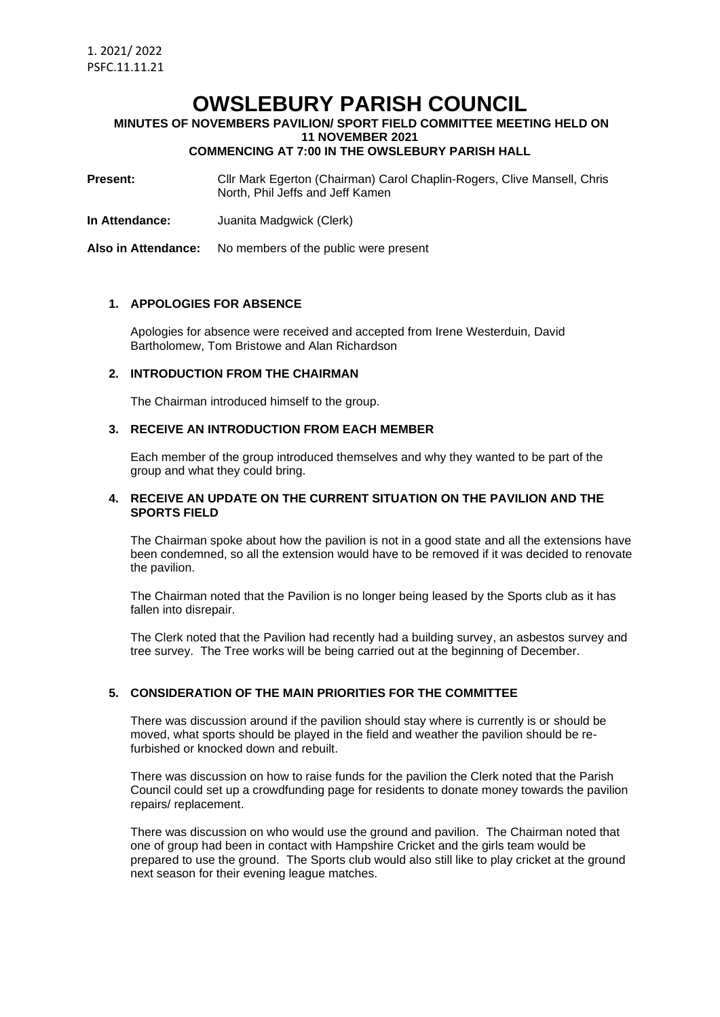# **OWSLEBURY PARISH COUNCIL**

**MINUTES OF NOVEMBERS PAVILION/ SPORT FIELD COMMITTEE MEETING HELD ON 11 NOVEMBER 2021**

**COMMENCING AT 7:00 IN THE OWSLEBURY PARISH HALL**

**Present:** Cllr Mark Egerton (Chairman) Carol Chaplin-Rogers, Clive Mansell, Chris North, Phil Jeffs and Jeff Kamen

**In Attendance:** Juanita Madgwick (Clerk)

**Also in Attendance:** No members of the public were present

#### **1. APPOLOGIES FOR ABSENCE**

Apologies for absence were received and accepted from Irene Westerduin, David Bartholomew, Tom Bristowe and Alan Richardson

#### **2. INTRODUCTION FROM THE CHAIRMAN**

The Chairman introduced himself to the group.

## **3. RECEIVE AN INTRODUCTION FROM EACH MEMBER**

Each member of the group introduced themselves and why they wanted to be part of the group and what they could bring.

### **4. RECEIVE AN UPDATE ON THE CURRENT SITUATION ON THE PAVILION AND THE SPORTS FIELD**

The Chairman spoke about how the pavilion is not in a good state and all the extensions have been condemned, so all the extension would have to be removed if it was decided to renovate the pavilion.

The Chairman noted that the Pavilion is no longer being leased by the Sports club as it has fallen into disrepair.

The Clerk noted that the Pavilion had recently had a building survey, an asbestos survey and tree survey. The Tree works will be being carried out at the beginning of December.

## **5. CONSIDERATION OF THE MAIN PRIORITIES FOR THE COMMITTEE**

There was discussion around if the pavilion should stay where is currently is or should be moved, what sports should be played in the field and weather the pavilion should be refurbished or knocked down and rebuilt.

There was discussion on how to raise funds for the pavilion the Clerk noted that the Parish Council could set up a crowdfunding page for residents to donate money towards the pavilion repairs/ replacement.

There was discussion on who would use the ground and pavilion. The Chairman noted that one of group had been in contact with Hampshire Cricket and the girls team would be prepared to use the ground. The Sports club would also still like to play cricket at the ground next season for their evening league matches.